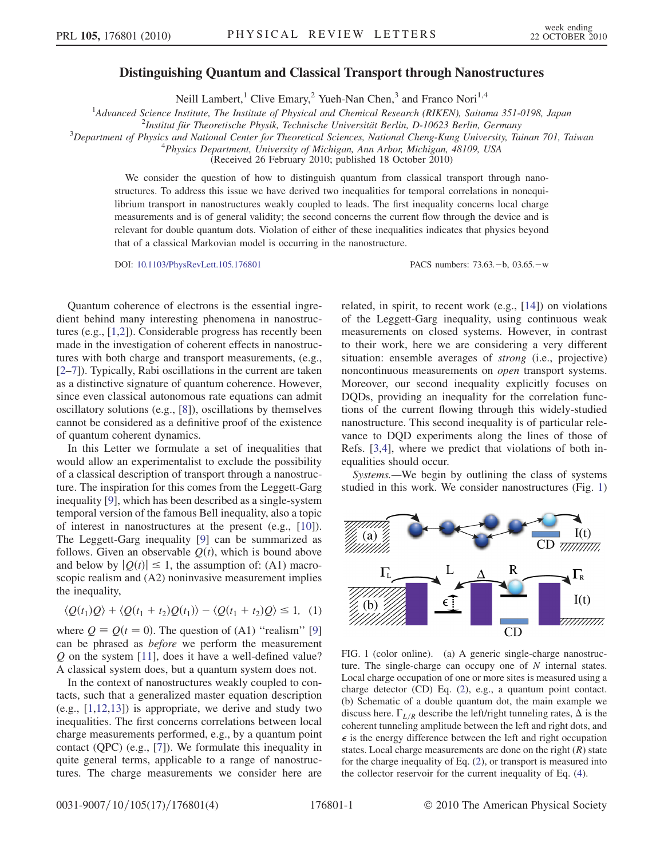## Distinguishing Quantum and Classical Transport through Nanostructures

Neill Lambert,<sup>1</sup> Clive Emary,<sup>2</sup> Yueh-Nan Chen,<sup>3</sup> and Franco Nori<sup>1,4</sup>

<sup>1</sup>Advanced Science Institute, The Institute of Physical and Chemical Research (RIKEN), Saitama 351-0198, Japan <sup>2</sup><br><sup>2</sup>Institut für Theoretische Physik, Technische Universität Berlin, D. 10623 Berlin, Germany

 $2$ Institut für Theoretische Physik, Technische Universität Berlin, D-10623 Berlin, Germany

 $3$ Department of Physics and National Center for Theoretical Sciences, National Cheng-Kung University, Tainan 701, Taiwan

 $^{4}$ Physics Department, University of Michigan, Ann Arbor, Michigan, 48109, USA

(Received 26 February 2010; published 18 October 2010)

We consider the question of how to distinguish quantum from classical transport through nanostructures. To address this issue we have derived two inequalities for temporal correlations in nonequilibrium transport in nanostructures weakly coupled to leads. The first inequality concerns local charge measurements and is of general validity; the second concerns the current flow through the device and is relevant for double quantum dots. Violation of either of these inequalities indicates that physics beyond that of a classical Markovian model is occurring in the nanostructure.

DOI: [10.1103/PhysRevLett.105.176801](http://dx.doi.org/10.1103/PhysRevLett.105.176801) PACS numbers: 73.63.-b, 03.65.-w

Quantum coherence of electrons is the essential ingredient behind many interesting phenomena in nanostructures (e.g., [[1](#page-3-0)[,2\]](#page-3-1)). Considerable progress has recently been made in the investigation of coherent effects in nanostructures with both charge and transport measurements, (e.g., [\[2–](#page-3-1)[7](#page-3-2)]). Typically, Rabi oscillations in the current are taken as a distinctive signature of quantum coherence. However, since even classical autonomous rate equations can admit oscillatory solutions (e.g., [\[8](#page-3-3)]), oscillations by themselves cannot be considered as a definitive proof of the existence of quantum coherent dynamics.

In this Letter we formulate a set of inequalities that would allow an experimentalist to exclude the possibility of a classical description of transport through a nanostructure. The inspiration for this comes from the Leggett-Garg inequality [[9\]](#page-3-4), which has been described as a single-system temporal version of the famous Bell inequality, also a topic of interest in nanostructures at the present (e.g., [\[10](#page-3-5)]). The Leggett-Garg inequality [[9\]](#page-3-4) can be summarized as follows. Given an observable  $O(t)$ , which is bound above and below by  $|Q(t)| \le 1$ , the assumption of: (A1) macroscopic realism and (A2) noninvasive measurement implies scopic realism and  $(A2)$  noninvasive measurement implies the inequality,

<span id="page-0-1"></span>
$$
\langle Q(t_1)Q\rangle + \langle Q(t_1 + t_2)Q(t_1)\rangle - \langle Q(t_1 + t_2)Q\rangle \le 1, (1)
$$

where  $Q = Q(t = 0)$ . The question of (A1) "realism" [\[9\]](#page-3-4) can be phrased as before we perform the measurement Q on the system [\[11\]](#page-3-6), does it have a well-defined value? A classical system does, but a quantum system does not.

In the context of nanostructures weakly coupled to contacts, such that a generalized master equation description (e.g., [[1](#page-3-0),[12](#page-3-7),[13](#page-3-8)]) is appropriate, we derive and study two inequalities. The first concerns correlations between local charge measurements performed, e.g., by a quantum point contact (QPC) (e.g., [[7](#page-3-2)]). We formulate this inequality in quite general terms, applicable to a range of nanostructures. The charge measurements we consider here are related, in spirit, to recent work (e.g., [[14](#page-3-9)]) on violations of the Leggett-Garg inequality, using continuous weak measurements on closed systems. However, in contrast to their work, here we are considering a very different situation: ensemble averages of strong (i.e., projective) noncontinuous measurements on open transport systems. Moreover, our second inequality explicitly focuses on DQDs, providing an inequality for the correlation functions of the current flowing through this widely-studied nanostructure. This second inequality is of particular relevance to DQD experiments along the lines of those of Refs. [\[3,](#page-3-10)[4\]](#page-3-11), where we predict that violations of both inequalities should occur.

Systems.—We begin by outlining the class of systems studied in this work. We consider nanostructures (Fig. [1\)](#page-0-0)

<span id="page-0-0"></span>

FIG. 1 (color online). (a) A generic single-charge nanostructure. The single-charge can occupy one of  $N$  internal states. Local charge occupation of one or more sites is measured using a charge detector (CD) Eq. [\(2](#page-1-0)), e.g., a quantum point contact. (b) Schematic of a double quantum dot, the main example we discuss here.  $\Gamma_{L/R}$  describe the left/right tunneling rates,  $\Delta$  is the coherent tunneling emplitude hetween the left and right date and coherent tunneling amplitude between the left and right dots, and  $\epsilon$  is the energy difference between the left and right occupation states. Local charge measurements are done on the right  $(R)$  state for the charge inequality of Eq. [\(2\)](#page-1-0), or transport is measured into the collector reservoir for the current inequality of Eq. [\(4](#page-2-0)).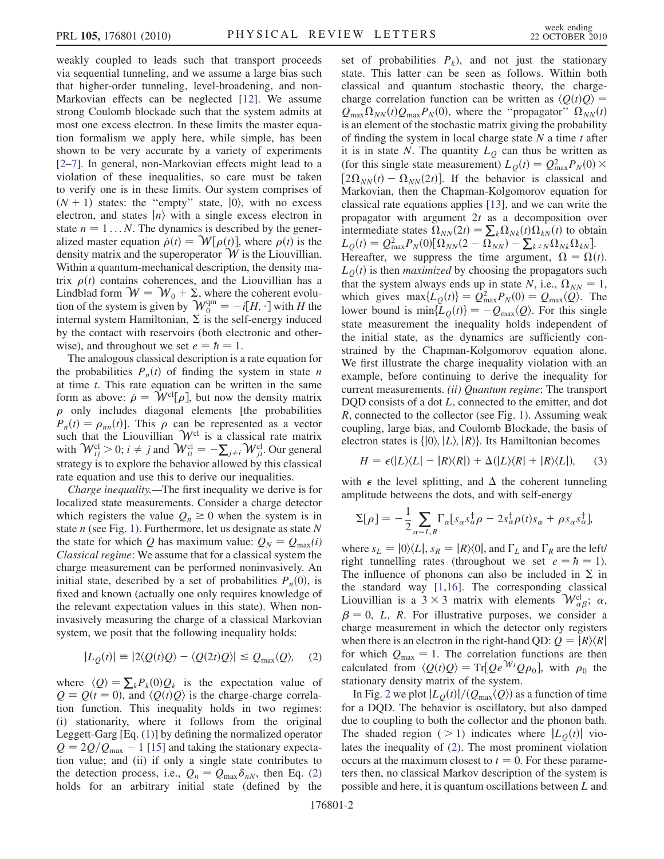weakly coupled to leads such that transport proceeds via sequential tunneling, and we assume a large bias such that higher-order tunneling, level-broadening, and non-Markovian effects can be neglected [[12](#page-3-7)]. We assume strong Coulomb blockade such that the system admits at most one excess electron. In these limits the master equation formalism we apply here, while simple, has been shown to be very accurate by a variety of experiments [\[2–](#page-3-1)[7](#page-3-2)]. In general, non-Markovian effects might lead to a violation of these inequalities, so care must be taken to verify one is in these limits. Our system comprises of  $(N + 1)$  states: the "empty" state,  $|0\rangle$ , with no excess electron, and states  $|n\rangle$  with a single excess electron in state  $n = 1...N$ . The dynamics is described by the generalized master equation  $\dot{\rho}(t) = \mathcal{W}[\rho(t)]$ , where  $\rho(t)$  is the density matrix and the superconerator  $\mathcal W$  is the Liquidian density matrix and the superoperator  $W$  is the Liouvillian. Within a quantum-mechanical description, the density matrix  $\rho(t)$  contains coherences, and the Liouvillian has a<br>Lindblad form  $\mathcal{W} = \mathcal{W}_0 + \Sigma$  where the coherent evolu-Lindblad form  $W = W_0 + \Sigma$ , where the coherent evolution of the system is given by  $W_0^{\text{qm}} = -i[H, \cdot]$  with H the internal system Hamiltonian  $\Sigma$  is the self-energy induced internal system Hamiltonian,  $\Sigma$  is the self-energy induced by the contact with reservoirs (both electronic and otherwise), and throughout we set  $e = \hbar = 1$ .

The analogous classical description is a rate equation for the probabilities  $P_n(t)$  of finding the system in state n at time  $t$ . This rate equation can be written in the same form as above:  $\dot{\rho} = \mathcal{W}^{\text{cl}}[\rho]$ , but now the density matrix  $\rho$  only includes diagonal elements like probabilities  $P_n(t) = \rho_{nn}(t)$ ]. This  $\rho$  can be represented as a vector<br>such that the Liouvillian W<sup>cl</sup> is a classical rate matrix  $\rho$  only includes diagonal elements [the probabilities such that the Liouvillian  $\mathcal{W}^{\text{cl}}$  is a classical rate matrix with  $\mathcal{W}_{ij}^{cl} > 0$ ;  $i \neq j$  and  $\mathcal{W}_{ii}^{cl} = -\sum_{j \neq i} \mathcal{W}_{ji}^{cl}$ . Our general strategy is to explore the behavior allowed by this classical rate equation and use this to derive our inequalities.

Charge inequality.—The first inequality we derive is for localized state measurements. Consider a charge detector which registers the value  $Q_n \geq 0$  when the system is in state  $n$  (see Fig. [1\)](#page-0-0). Furthermore, let us designate as state  $N$ the state for which Q has maximum value:  $Q_N = Q_{\text{max}}(i)$ Classical regime: We assume that for a classical system the charge measurement can be performed noninvasively. An initial state, described by a set of probabilities  $P_n(0)$ , is fixed and known (actually one only requires knowledge of the relevant expectation values in this state). When noninvasively measuring the charge of a classical Markovian system, we posit that the following inequality holds:

<span id="page-1-0"></span>
$$
|L_{Q}(t)| = |2\langle Q(t)Q\rangle - \langle Q(2t)Q\rangle| \leq Q_{\text{max}}\langle Q\rangle, \quad (2)
$$

where  $\langle Q \rangle = \sum_k P_k(0)Q_k$  is the expectation value of  $Q \equiv Q(t=0)$  and  $\langle Q(t)Q \rangle$  is the charge-charge correla- $Q \equiv Q(t = 0)$ , and  $\langle Q(t)Q \rangle$  is the charge-charge correlation function. This inequality holds in two regimes: (i) stationarity, where it follows from the original Leggett-Garg [Eq. ([1](#page-0-1))] by defining the normalized operator  $Q = 2Q/Q_{\text{max}} - 1$  [[15](#page-3-12)] and taking the stationary expectation value; and (ii) if only a single state contributes to the detection process, i.e.,  $Q_n = Q_{\text{max}} \delta_{nN}$ , then Eq. [\(2\)](#page-1-0) holds for an arbitrary initial state (defined by the set of probabilities  $P_k$ ), and not just the stationary state. This latter can be seen as follows. Within both classical and quantum stochastic theory, the chargecharge correlation function can be written as  $\langle Q(t)Q \rangle$  =  $Q_{\text{max}}\Omega_{NN}(t)Q_{\text{max}}P_N(0)$ , where the "propagator"  $\Omega_{NN}(t)$ is an element of the stochastic matrix giving the probability of finding the system in local charge state  $N$  a time  $t$  after it is in state N. The quantity  $L<sub>O</sub>$  can thus be written as (for this single state measurement)  $L_{\mathcal{Q}}(t) = Q_{\text{max}}^2 P_N(0) \times [2Q_{\text{max}}(t) - Q_{\text{max}}(2t)]$  If the behavior is classical and  $[2\Omega_{NN}(t) - \Omega_{NN}(2t)]$ . If the behavior is classical and Markovian, then the Chapman-Kolgomorov equation for classical rate equations applies [[13](#page-3-8)], and we can write the propagator with argument  $2t$  as a decomposition over intermediate states  $\Omega_{NN}(2t) = \sum_k \Omega_{Nk}(t) \Omega_{kN}(t)$  to obtain  $L_c(t) = Q^2 \cdot P_{\text{N}}(0) [\Omega_{\text{N}}(2 - \Omega_{\text{N}})] - \sum_k \Omega_{kN} \Omega_{\text{N}}(t)$  $L_Q(t) = Q_{\text{max}}^2 P_N(0) [\Omega_{NN}(2 - \Omega_{NN}) - \sum_{k \neq N} \Omega_{NN} \Omega_{kN}]$ .<br>Hereafter we suppress the time aroument  $\Omega = \Omega(t)$ Hereafter, we suppress the time argument,  $\Omega = \Omega(t)$ .  $L<sub>Q</sub>(t)$  is then *maximized* by choosing the propagators such that the system always ends up in state N, i.e.,  $\Omega_{NN} = 1$ , which gives  $\max\{L_Q(t)\} = Q_{\text{max}}^2 P_N(0) = Q_{\text{max}}\langle Q \rangle$ . The lower bound is  $\min I_{\text{max}}(t) = -Q_{\text{max}}(Q)$ . For this single lower bound is  $\min\{L_O(t)\} = -Q_{\text{max}}\langle Q\rangle$ . For this single state measurement the inequality holds independent of the initial state, as the dynamics are sufficiently constrained by the Chapman-Kolgomorov equation alone. We first illustrate the charge inequality violation with an example, before continuing to derive the inequality for current measurements. *(ii) Quantum regime*: The transport DQD consists of a dot L, connected to the emitter, and dot R, connected to the collector (see Fig. [1\)](#page-0-0). Assuming weak coupling, large bias, and Coulomb Blockade, the basis of electron states is  $\{|0\rangle, |L\rangle, |R\rangle\}$ . Its Hamiltonian becomes

$$
H = \epsilon(|L\rangle\langle L| - |R\rangle\langle R|) + \Delta(|L\rangle\langle R| + |R\rangle\langle L|), \quad (3)
$$

with  $\epsilon$  the level splitting, and  $\Delta$  the coherent tunneling amplitude betweens the dots and with self-energy amplitude betweens the dots, and with self-energy

$$
\Sigma[\rho] = -\frac{1}{2} \sum_{\alpha=L,R} \Gamma_{\alpha} [s_{\alpha} s_{\alpha}^{\dagger} \rho - 2s_{\alpha}^{\dagger} \rho(t) s_{\alpha} + \rho s_{\alpha} s_{\alpha}^{\dagger}],
$$

where  $s_L = |0\rangle\langle L|, s_R = |R\rangle\langle 0|$ , and  $\Gamma_L$  and  $\Gamma_R$  are the left/ right tunnelling rates (throughout we set  $e = \hbar = 1$ ). The influence of phonons can also be included in  $\Sigma$  in the standard way [\[1](#page-3-0),[16](#page-3-13)]. The corresponding classical Liouvillian is a  $3 \times 3$  matrix with elements  $\mathcal{W}_{\alpha\beta}^{cl}$ ;  $\alpha$ ,  $\beta = 0$ ,  $I - B$ . For illustrative purposes, we consider a  $\beta = 0$ , L, R. For illustrative purposes, we consider a charge measurement in which the detector only registers when there is an electron in the right-hand QD:  $Q = |R\rangle\langle R|$ for which  $Q_{\text{max}} = 1$ . The correlation functions are then calculated from  $\langle Q(t)Q \rangle = \text{Tr}[Qe^{Wt}Q\rho_0]$ , with  $\rho_0$  the stationary density matrix of the system stationary density matrix of the system.

In Fig. [2](#page-2-1) we plot  $|L_o(t)|/(Q_{\text{max}}\langle Q\rangle)$  as a function of time for a DQD. The behavior is oscillatory, but also damped due to coupling to both the collector and the phonon bath. The shaded region ( > 1) indicates where  $|L_0(t)|$  violates the inequality of [\(2\)](#page-1-0). The most prominent violation occurs at the maximum closest to  $t = 0$ . For these parameters then, no classical Markov description of the system is possible and here, it is quantum oscillations between L and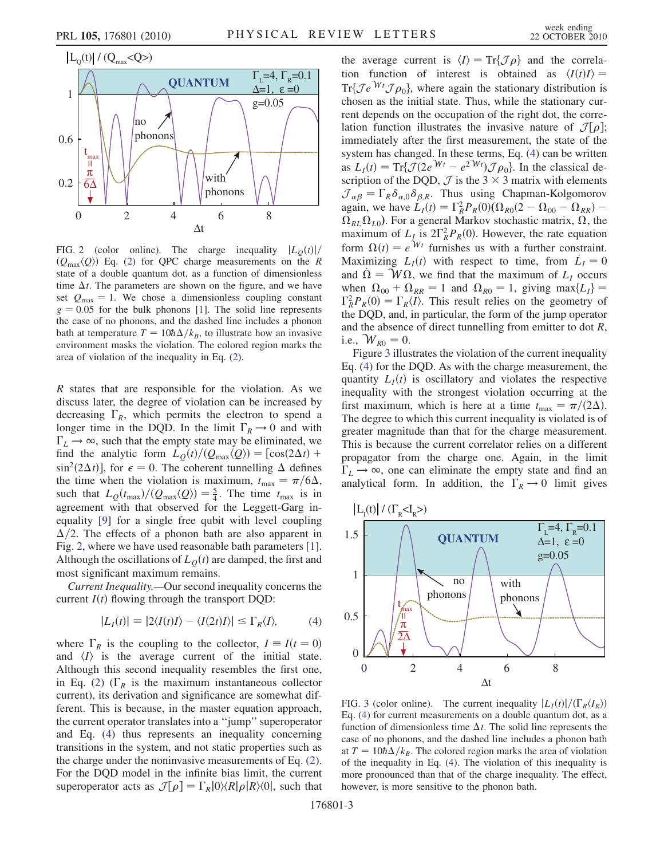<span id="page-2-1"></span>

FIG. 2 (color online). The charge inequality  $|L<sub>O</sub>(t)|/$  $(Q_{\text{max}}\langle Q\rangle)$  Eq. [\(2](#page-1-0)) for QPC charge measurements on the R state of a double quantum dot, as a function of dimensionless time  $\Delta t$ . The parameters are shown on the figure, and we have<br>set  $Q = 1$ . We chose a dimensionless counting constant set  $Q_{\text{max}} = 1$ . We chose a dimensionless coupling constant  $g = 0.05$  for the bulk phonons [\[1](#page-3-0)]. The solid line represents the case of no phonons, and the dashed line includes a phonon bath at temperature  $T = 10h\Delta/k_B$ , to illustrate how an invasive<br>environment masks the violation. The colored region marks the environment masks the violation. The colored region marks the area of violation of the inequality in Eq. ([2\)](#page-1-0).

R states that are responsible for the violation. As we discuss later, the degree of violation can be increased by decreasing  $\Gamma_R$ , which permits the electron to spend a longer time in the DQD. In the limit  $\Gamma_R \rightarrow 0$  and with  $\Gamma_L \rightarrow \infty$ , such that the empty state may be eliminated, we find the analytic form  $L<sub>O</sub>(t)/(Q<sub>max</sub>\langle Q \rangle) = [\cos(2\Delta t) +$  $\sin^2(2\Delta t)$ , for  $\epsilon = 0$ . The coherent tunnelling  $\Delta$  defines<br>the time when the violation is maximum  $t = \pi/6\Delta$ the time when the violation is maximum,  $t_{\text{max}} = \pi/6\Delta$ ,<br>such that  $I_{\phi}(t_{\text{min}})/(\Omega_{\phi}(t)) = \frac{5}{4}$ . The time t is in such that  $L_Q(t_{\text{max}})/(Q_{\text{max}}\langle Q\rangle) = \frac{5}{4}$ . The time  $t_{\text{max}}$  is in agreement with that observed for the Leggett-Garg inequality [\[9](#page-3-4)] for a single free qubit with level coupling  $\Delta/2$ . The effects of a phonon bath are also apparent in Fig. 2, where we have used reasonable bath parameters [1]. Fig. [2](#page-2-1), where we have used reasonable bath parameters [[1\]](#page-3-0). Although the oscillations of  $L<sub>O</sub>(t)$  are damped, the first and most significant maximum remains.

<span id="page-2-0"></span>Current Inequality.—Our second inequality concerns the current  $I(t)$  flowing through the transport DQD:

$$
|L_I(t)| \equiv |2\langle I(t)I\rangle - \langle I(2t)I\rangle| \le \Gamma_R\langle I\rangle,\tag{4}
$$

where  $\Gamma_R$  is the coupling to the collector,  $I = I(t = 0)$ and  $\langle I \rangle$  is the average current of the initial state. Although this second inequality resembles the first one, in Eq. ([2\)](#page-1-0) ( $\Gamma_R$  is the maximum instantaneous collector current), its derivation and significance are somewhat different. This is because, in the master equation approach, the current operator translates into a ''jump'' superoperator and Eq. ([4\)](#page-2-0) thus represents an inequality concerning transitions in the system, and not static properties such as the charge under the noninvasive measurements of Eq. ([2\)](#page-1-0). For the DQD model in the infinite bias limit, the current superoperator acts as  $\mathcal{J}[\rho] = \Gamma_R|0\rangle\langle R|\rho|R\rangle\langle 0|$ , such that

the average current is  $\langle I \rangle = \text{Tr}\{\mathcal{J}\rho\}$  and the correla-<br>tion function of interest is obtained as  $\langle I(t)I \rangle =$ tion function of interest is obtained as  $\langle I(t)I \rangle =$  $Tr{Je^{Wt}\mathcal{J}\rho_0}$ , where again the stationary distribution is chosen as the initial state. Thus, while the stationary curchosen as the initial state. Thus, while the stationary current depends on the occupation of the right dot, the correlation function illustrates the invasive nature of  $\mathcal{J}[\rho];$ <br>immediately after the first measurement, the state of the immediately after the first measurement, the state of the system has changed. In these terms, Eq. ([4](#page-2-0)) can be written as  $L_I(t) = \text{Tr}\{\mathcal{J}(2e^{Wt} - e^{2Wt})\mathcal{J}\rho_0\}$ . In the classical description of the DOD  $\mathcal{J}$  is the 3  $\times$  3 matrix with elements scription of the DQD,  $\mathcal{J}$  is the 3  $\times$  3 matrix with elements  $\mathcal{J}_{\alpha\beta} = \Gamma_R \delta_{\alpha,0} \delta_{\beta,R}$ . Thus using Chapman-Kolgomorov again, we have  $L_I(t) = \Gamma_R^2 P_R(0) (\Omega_{R0}(2 - \Omega_{00} - \Omega_{RR}) -$ <br>O v O to For a general Markov stochastic matrix O the  $\Omega_{RL}\Omega_{L0}$ ). For a general Markov stochastic matrix,  $\Omega$ , the maximum of L is 2 $\Gamma^2 P$  (0). However, the rate equation maximum of  $L_I$  is  $2\Gamma_R^2 P_R(0)$ . However, the rate equation<br>form  $Q(t) = e^{Wt}$  furnishes us with a further constraint form  $\Omega(t) = e^{\mathcal{W}t}$  furnishes us with a further constraint. Maximizing  $L_I(t)$  with respect to time, from  $\dot{L}_I = 0$ <br>and  $\dot{\Omega} = \mathcal{M}\Omega$ , we find that the maximum of L occurs and  $\dot{\Omega} = W\Omega$ , we find that the maximum of  $L_I$  occurs when  $\Omega_{00} + \Omega_{RR} = 1$  and  $\Omega_{R0} = 1$ , giving max $\{L_I\}$  $\Gamma_R^2 P_R(0) = \Gamma_R \langle I \rangle$ . This result relies on the geometry of the DOD and in particular the form of the jump operator the DQD, and, in particular, the form of the jump operator and the absence of direct tunnelling from emitter to dot R, i.e.,  $W_{R0} = 0$ .

Figure [3](#page-2-2) illustrates the violation of the current inequality Eq. [\(4\)](#page-2-0) for the DQD. As with the charge measurement, the quantity  $L_I(t)$  is oscillatory and violates the respective inequality with the strongest violation occurring at the first maximum, which is here at a time  $t_{\text{max}} = \pi/(2\Delta)$ .<br>The degree to which this current inequality is violated is of The degree to which this current inequality is violated is of greater magnitude than that for the charge measurement. This is because the current correlator relies on a different propagator from the charge one. Again, in the limit  $\Gamma_L \rightarrow \infty$ , one can eliminate the empty state and find an analytical form. In addition, the  $\Gamma_R \rightarrow 0$  limit gives

<span id="page-2-2"></span>

FIG. 3 (color online). The current inequality  $|L_I(t)|/(\Gamma_R\langle I_R\rangle)$ Eq. ([4](#page-2-0)) for current measurements on a double quantum dot, as a function of dimensionless time  $\Delta t$ . The solid line represents the case of no phonons and the dashed line includes a phonon bath case of no phonons, and the dashed line includes a phonon bath at  $T = 10\hat{n}\Delta/k_B$ . The colored region marks the area of violation<br>of the inequality in Eq. (4). The violation of this inequality is of the inequality in Eq. ([4\)](#page-2-0). The violation of this inequality is more pronounced than that of the charge inequality. The effect, however, is more sensitive to the phonon bath.